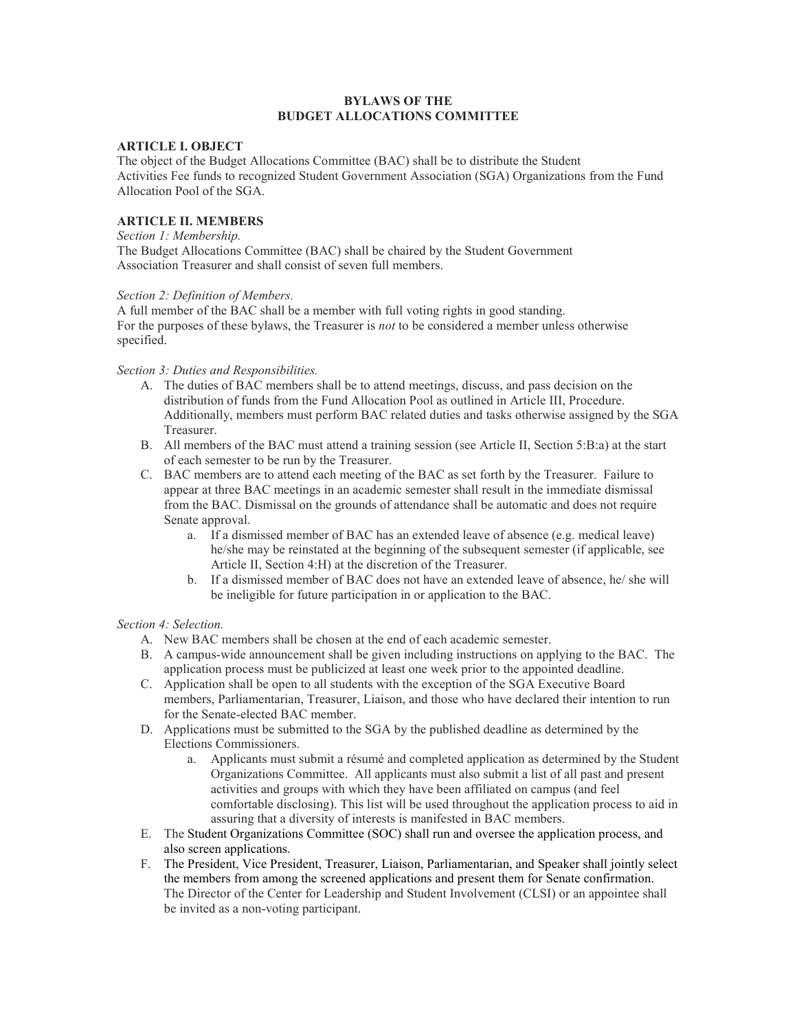# BYLAWS OF THE BUDGET ALLOCATIONS COMMITTEE

# ARTICLE I. OBJECT

The object of the Budget Allocations Committee (BAC) shall be to distribute the Student Activities Fee funds to recognized Student Government Association (SGA) Organizations from the Fund Allocation Pool of the SGA.

## ARTICLE II. MEMBERS

#### Section 1: Membership.

The Budget Allocations Committee (BAC) shall be chaired by the Student Government Association Treasurer and shall consist of seven full members.

### Section 2: Definition of Members.

A full member of the BAC shall be a member with full voting rights in good standing. For the purposes of these bylaws, the Treasurer is *not* to be considered a member unless otherwise specified.

### Section 3: Duties and Responsibilities.

- A. The duties of BAC members shall be to attend meetings, discuss, and pass decision on the distribution of funds from the Fund Allocation Pool as outlined in Article III, Procedure. Additionally, members must perform BAC related duties and tasks otherwise assigned by the SGA Treasurer.
- B. All members of the BAC must attend a training session (see Article II, Section 5:B:a) at the start of each semester to be run by the Treasurer.
- C. BAC members are to attend each meeting of the BAC as set forth by the Treasurer. Failure to appear at three BAC meetings in an academic semester shall result in the immediate dismissal from the BAC. Dismissal on the grounds of attendance shall be automatic and does not require Senate approval.
	- a. If a dismissed member of BAC has an extended leave of absence (e.g. medical leave) he/she may be reinstated at the beginning of the subsequent semester (if applicable, see Article II, Section 4:H) at the discretion of the Treasurer.
	- b. If a dismissed member of BAC does not have an extended leave of absence, he/ she will be ineligible for future participation in or application to the BAC.

### Section 4: Selection.

- A. New BAC members shall be chosen at the end of each academic semester.
- B. A campus-wide announcement shall be given including instructions on applying to the BAC. The application process must be publicized at least one week prior to the appointed deadline.
- C. Application shall be open to all students with the exception of the SGA Executive Board members, Parliamentarian, Treasurer, Liaison, and those who have declared their intention to run for the Senate-elected BAC member.
- D. Applications must be submitted to the SGA by the published deadline as determined by the Elections Commissioners.
	- a. Applicants must submit a résumé and completed application as determined by the Student Organizations Committee. All applicants must also submit a list of all past and present activities and groups with which they have been affiliated on campus (and feel comfortable disclosing). This list will be used throughout the application process to aid in assuring that a diversity of interests is manifested in BAC members.
- E. The Student Organizations Committee (SOC) shall run and oversee the application process, and also screen applications.
- F. The President, Vice President, Treasurer, Liaison, Parliamentarian, and Speaker shall jointly select the members from among the screened applications and present them for Senate confirmation. The Director of the Center for Leadership and Student Involvement (CLSI) or an appointee shall be invited as a non-voting participant.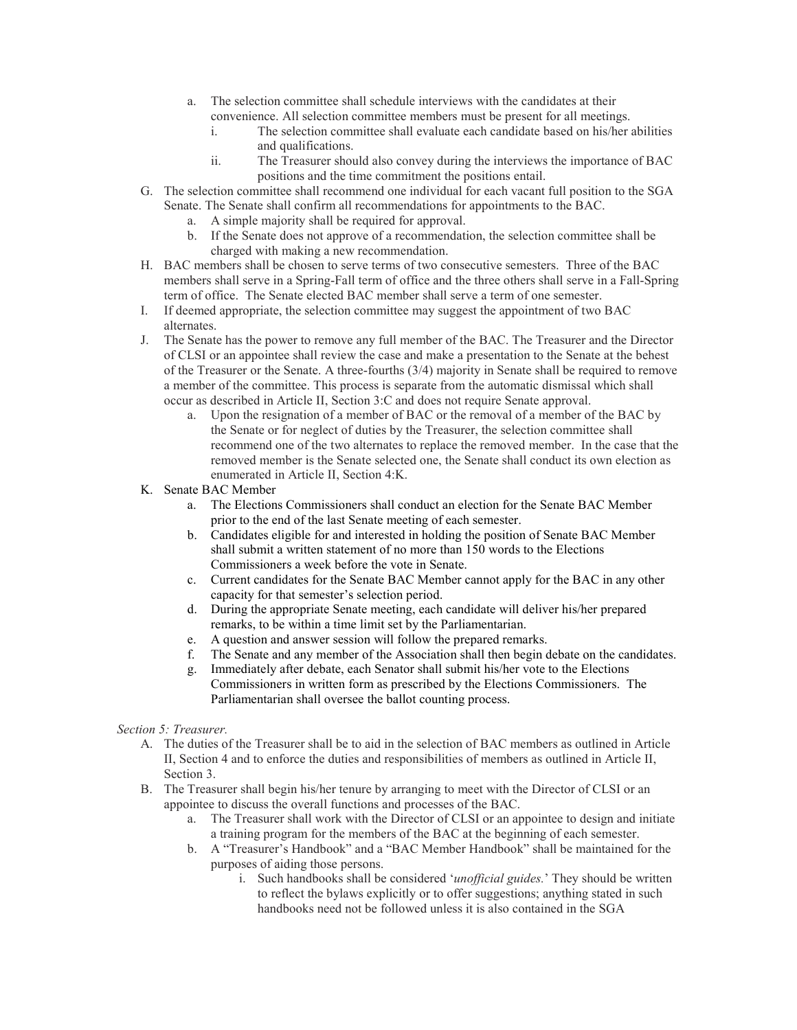- a. The selection committee shall schedule interviews with the candidates at their convenience. All selection committee members must be present for all meetings.
	- i. The selection committee shall evaluate each candidate based on his/her abilities and qualifications.
	- ii. The Treasurer should also convey during the interviews the importance of BAC positions and the time commitment the positions entail.
- G. The selection committee shall recommend one individual for each vacant full position to the SGA Senate. The Senate shall confirm all recommendations for appointments to the BAC.
	- a. A simple majority shall be required for approval.
	- b. If the Senate does not approve of a recommendation, the selection committee shall be charged with making a new recommendation.
- H. BAC members shall be chosen to serve terms of two consecutive semesters. Three of the BAC members shall serve in a Spring-Fall term of office and the three others shall serve in a Fall-Spring term of office. The Senate elected BAC member shall serve a term of one semester.
- I. If deemed appropriate, the selection committee may suggest the appointment of two BAC alternates.
- J. The Senate has the power to remove any full member of the BAC. The Treasurer and the Director of CLSI or an appointee shall review the case and make a presentation to the Senate at the behest of the Treasurer or the Senate. A three-fourths (3/4) majority in Senate shall be required to remove a member of the committee. This process is separate from the automatic dismissal which shall occur as described in Article II, Section 3:C and does not require Senate approval.
	- a. Upon the resignation of a member of BAC or the removal of a member of the BAC by the Senate or for neglect of duties by the Treasurer, the selection committee shall recommend one of the two alternates to replace the removed member. In the case that the removed member is the Senate selected one, the Senate shall conduct its own election as enumerated in Article II, Section 4:K.
- K. Senate BAC Member
	- a. The Elections Commissioners shall conduct an election for the Senate BAC Member prior to the end of the last Senate meeting of each semester.
	- b. Candidates eligible for and interested in holding the position of Senate BAC Member shall submit a written statement of no more than 150 words to the Elections Commissioners a week before the vote in Senate.
	- c. Current candidates for the Senate BAC Member cannot apply for the BAC in any other capacity for that semester's selection period.
	- d. During the appropriate Senate meeting, each candidate will deliver his/her prepared remarks, to be within a time limit set by the Parliamentarian.
	- e. A question and answer session will follow the prepared remarks.
	- f. The Senate and any member of the Association shall then begin debate on the candidates.
	- g. Immediately after debate, each Senator shall submit his/her vote to the Elections Commissioners in written form as prescribed by the Elections Commissioners. The Parliamentarian shall oversee the ballot counting process.

# Section 5: Treasurer.

- A. The duties of the Treasurer shall be to aid in the selection of BAC members as outlined in Article II, Section 4 and to enforce the duties and responsibilities of members as outlined in Article II, Section 3.
- B. The Treasurer shall begin his/her tenure by arranging to meet with the Director of CLSI or an appointee to discuss the overall functions and processes of the BAC.
	- a. The Treasurer shall work with the Director of CLSI or an appointee to design and initiate a training program for the members of the BAC at the beginning of each semester.
	- b. A "Treasurer's Handbook" and a "BAC Member Handbook" shall be maintained for the purposes of aiding those persons.
		- i. Such handbooks shall be considered 'unofficial guides.' They should be written to reflect the bylaws explicitly or to offer suggestions; anything stated in such handbooks need not be followed unless it is also contained in the SGA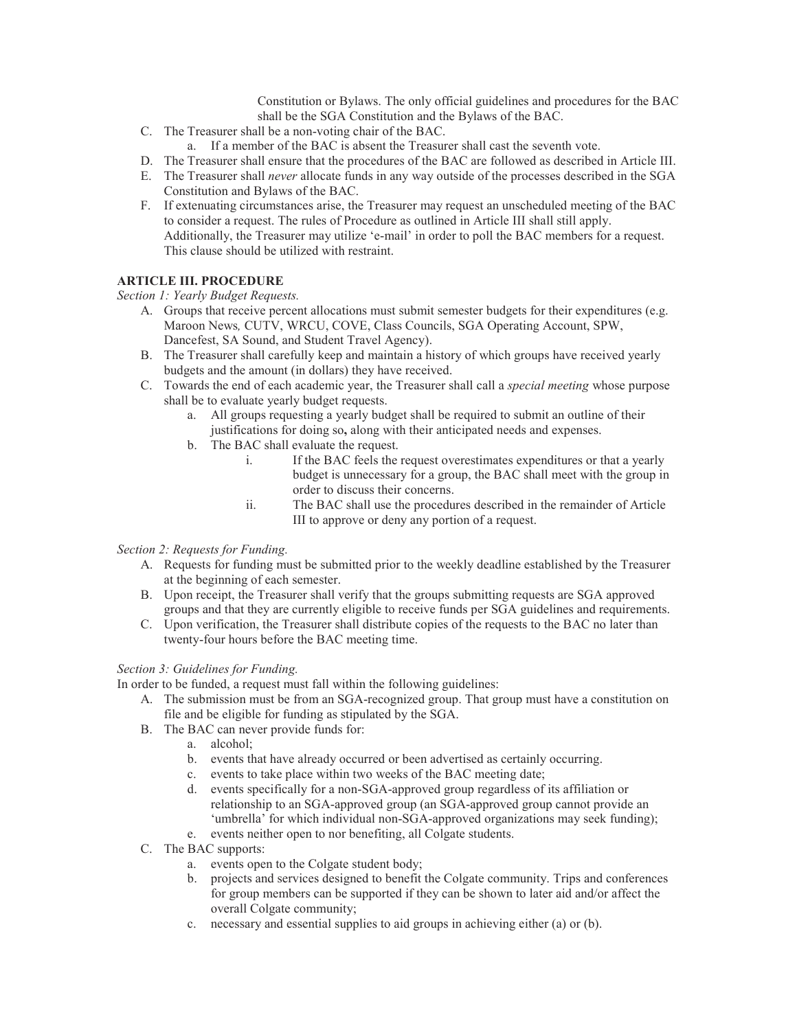Constitution or Bylaws. The only official guidelines and procedures for the BAC shall be the SGA Constitution and the Bylaws of the BAC.

- C. The Treasurer shall be a non-voting chair of the BAC.
	- a. If a member of the BAC is absent the Treasurer shall cast the seventh vote.
- D. The Treasurer shall ensure that the procedures of the BAC are followed as described in Article III.
- E. The Treasurer shall never allocate funds in any way outside of the processes described in the SGA Constitution and Bylaws of the BAC.
- F. If extenuating circumstances arise, the Treasurer may request an unscheduled meeting of the BAC to consider a request. The rules of Procedure as outlined in Article III shall still apply. Additionally, the Treasurer may utilize 'e-mail' in order to poll the BAC members for a request. This clause should be utilized with restraint.

# ARTICLE III. PROCEDURE

Section 1: Yearly Budget Requests.

- A. Groups that receive percent allocations must submit semester budgets for their expenditures (e.g. Maroon News, CUTV, WRCU, COVE, Class Councils, SGA Operating Account, SPW, Dancefest, SA Sound, and Student Travel Agency).
- B. The Treasurer shall carefully keep and maintain a history of which groups have received yearly budgets and the amount (in dollars) they have received.
- C. Towards the end of each academic year, the Treasurer shall call a special meeting whose purpose shall be to evaluate yearly budget requests.
	- a. All groups requesting a yearly budget shall be required to submit an outline of their justifications for doing so, along with their anticipated needs and expenses.
	- b. The BAC shall evaluate the request.
		- i. If the BAC feels the request overestimates expenditures or that a yearly budget is unnecessary for a group, the BAC shall meet with the group in order to discuss their concerns.
		- ii. The BAC shall use the procedures described in the remainder of Article III to approve or deny any portion of a request.

# Section 2: Requests for Funding.

- A. Requests for funding must be submitted prior to the weekly deadline established by the Treasurer at the beginning of each semester.
- B. Upon receipt, the Treasurer shall verify that the groups submitting requests are SGA approved groups and that they are currently eligible to receive funds per SGA guidelines and requirements.
- C. Upon verification, the Treasurer shall distribute copies of the requests to the BAC no later than twenty-four hours before the BAC meeting time.

# Section 3: Guidelines for Funding.

In order to be funded, a request must fall within the following guidelines:

- A. The submission must be from an SGA-recognized group. That group must have a constitution on file and be eligible for funding as stipulated by the SGA.
- B. The BAC can never provide funds for:
	- a. alcohol;
	- b. events that have already occurred or been advertised as certainly occurring.
	- c. events to take place within two weeks of the BAC meeting date;
	- d. events specifically for a non-SGA-approved group regardless of its affiliation or relationship to an SGA-approved group (an SGA-approved group cannot provide an 'umbrella' for which individual non-SGA-approved organizations may seek funding);
	- e. events neither open to nor benefiting, all Colgate students.
- C. The BAC supports:
	- a. events open to the Colgate student body;
	- b. projects and services designed to benefit the Colgate community. Trips and conferences for group members can be supported if they can be shown to later aid and/or affect the overall Colgate community;
	- c. necessary and essential supplies to aid groups in achieving either (a) or (b).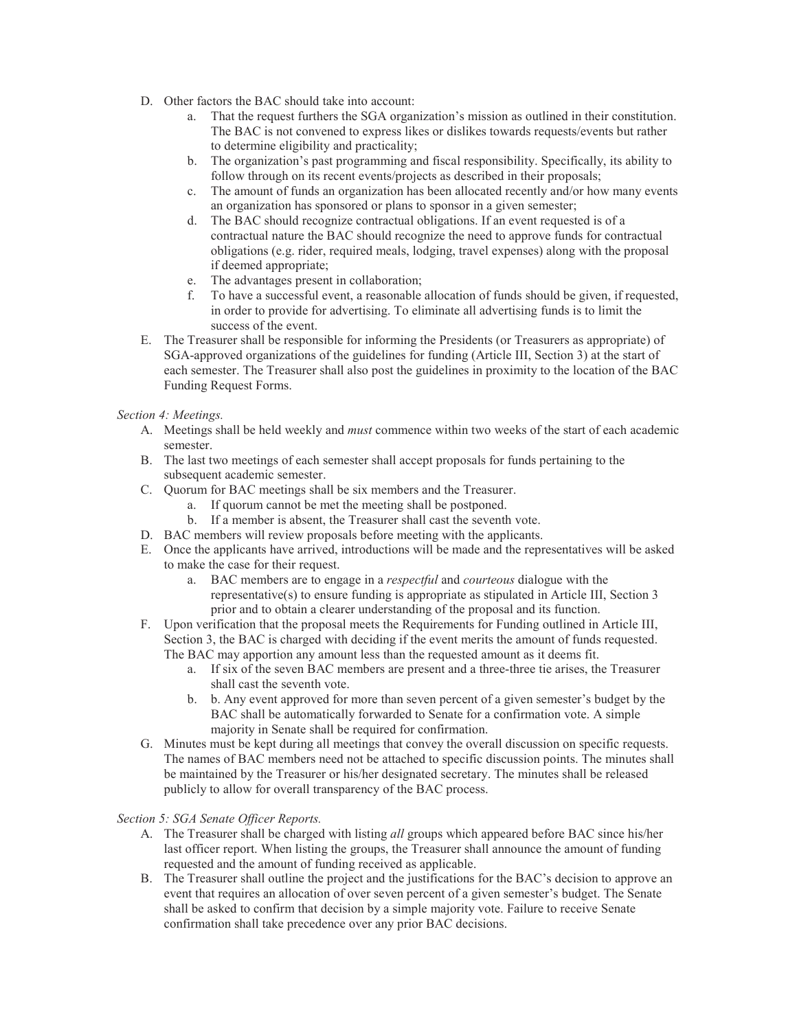- D. Other factors the BAC should take into account:
	- a. That the request furthers the SGA organization's mission as outlined in their constitution. The BAC is not convened to express likes or dislikes towards requests/events but rather to determine eligibility and practicality;
	- b. The organization's past programming and fiscal responsibility. Specifically, its ability to follow through on its recent events/projects as described in their proposals;
	- c. The amount of funds an organization has been allocated recently and/or how many events an organization has sponsored or plans to sponsor in a given semester;
	- d. The BAC should recognize contractual obligations. If an event requested is of a contractual nature the BAC should recognize the need to approve funds for contractual obligations (e.g. rider, required meals, lodging, travel expenses) along with the proposal if deemed appropriate;
	- e. The advantages present in collaboration;<br>f. To have a successful event, a reasonable
	- f. To have a successful event, a reasonable allocation of funds should be given, if requested, in order to provide for advertising. To eliminate all advertising funds is to limit the success of the event.
- E. The Treasurer shall be responsible for informing the Presidents (or Treasurers as appropriate) of SGA-approved organizations of the guidelines for funding (Article III, Section 3) at the start of each semester. The Treasurer shall also post the guidelines in proximity to the location of the BAC Funding Request Forms.

# Section 4: Meetings.

- A. Meetings shall be held weekly and must commence within two weeks of the start of each academic semester.
- B. The last two meetings of each semester shall accept proposals for funds pertaining to the subsequent academic semester.
- C. Quorum for BAC meetings shall be six members and the Treasurer.
	- a. If quorum cannot be met the meeting shall be postponed.
	- b. If a member is absent, the Treasurer shall cast the seventh vote.
- D. BAC members will review proposals before meeting with the applicants.
- E. Once the applicants have arrived, introductions will be made and the representatives will be asked to make the case for their request.
	- a. BAC members are to engage in a respectful and courteous dialogue with the representative(s) to ensure funding is appropriate as stipulated in Article III, Section 3 prior and to obtain a clearer understanding of the proposal and its function.
- F. Upon verification that the proposal meets the Requirements for Funding outlined in Article III, Section 3, the BAC is charged with deciding if the event merits the amount of funds requested. The BAC may apportion any amount less than the requested amount as it deems fit.
	- a. If six of the seven BAC members are present and a three-three tie arises, the Treasurer shall cast the seventh vote.
	- b. b. Any event approved for more than seven percent of a given semester's budget by the BAC shall be automatically forwarded to Senate for a confirmation vote. A simple majority in Senate shall be required for confirmation.
- G. Minutes must be kept during all meetings that convey the overall discussion on specific requests. The names of BAC members need not be attached to specific discussion points. The minutes shall be maintained by the Treasurer or his/her designated secretary. The minutes shall be released publicly to allow for overall transparency of the BAC process.

### Section 5: SGA Senate Officer Reports.

- A. The Treasurer shall be charged with listing all groups which appeared before BAC since his/her last officer report. When listing the groups, the Treasurer shall announce the amount of funding requested and the amount of funding received as applicable.
- B. The Treasurer shall outline the project and the justifications for the BAC's decision to approve an event that requires an allocation of over seven percent of a given semester's budget. The Senate shall be asked to confirm that decision by a simple majority vote. Failure to receive Senate confirmation shall take precedence over any prior BAC decisions.